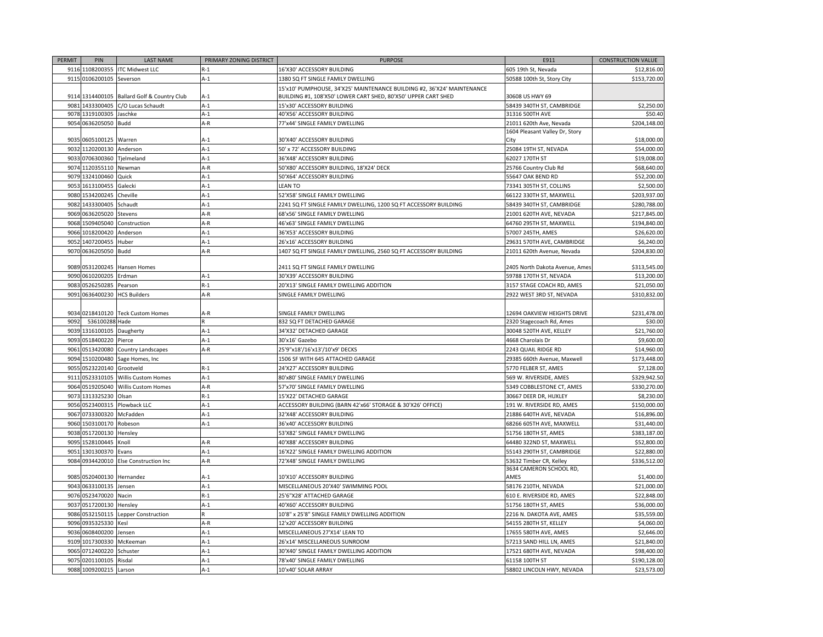| PERMIT | PIN                       | <b>LAST NAME</b>                            | PRIMARY ZONING DISTRICT | <b>PURPOSE</b>                                                          | E911                                              | <b>CONSTRUCTION VALUE</b> |
|--------|---------------------------|---------------------------------------------|-------------------------|-------------------------------------------------------------------------|---------------------------------------------------|---------------------------|
|        |                           | 9116 1108200355 ITC Midwest LLC             | $R-1$                   | 16'X30' ACCESSORY BUILDING                                              | 605 19th St, Nevada                               | \$12,816.00               |
|        | 9115 0106200105           | Severson                                    | $A-1$                   | 1380 SQ FT SINGLE FAMILY DWELLING                                       | 50588 100th St, Story City                        | \$153,720.00              |
|        |                           |                                             |                         | 15'x10' PUMPHOUSE, 34'X25' MAINTENANCE BUILDING #2, 36'X24' MAINTENANCE |                                                   |                           |
|        |                           | 9114 1314400105 Ballard Golf & Country Club | A-1                     | BUILDING #1, 108'X50' LOWER CART SHED, 80'X50' UPPER CART SHED          | 30608 US HWY 69                                   |                           |
|        |                           | 9081 1433300405 C/O Lucas Schaudt           | $A-1$                   | 15'x30' ACCESSORY BUILDING                                              | 58439 340TH ST, CAMBRIDGE                         | \$2,250.00                |
|        | 9078 1319100305           | Jaschke                                     | $A-1$                   | 40'X56' ACCESSORY BUILDING                                              | 31316 500TH AVE                                   | \$50.40                   |
|        | 9054 0636205050 Budd      |                                             | A-R                     | 77'x44' SINGLE FAMILY DWELLING                                          | 21011 620th Ave, Nevada                           | \$204,148.00              |
|        |                           |                                             |                         |                                                                         | 1604 Pleasant Valley Dr, Story                    |                           |
|        | 9035 0605100125 Warren    |                                             | ۹-1                     | 30'X40' ACCESSORY BUILDING                                              | City                                              | \$18,000.00               |
|        | 9032 1120200130 Anderson  |                                             | $A-1$                   | 50' x 72' ACCESSORY BUILDING                                            | 25084 19TH ST, NEVADA                             | \$54,000.00               |
|        | 9033 0706300360           | Tjelmeland                                  | $A-1$                   | 36'X48' ACCESSORY BUILDING                                              | 62027 170TH ST                                    | \$19,008.00               |
|        | 9074 1120355110           | Newman                                      | $A-R$                   | 50'X80' ACCESSORY BUILDING, 18'X24' DECK                                | 25766 Country Club Rd                             | \$68,640.00               |
|        | 9079 1324100460           | Quick                                       | $A-1$                   | 50'X64' ACCESSORY BUILDING                                              | 55647 OAK BEND RD                                 | \$52,200.00               |
|        | 9053 1613100455           | Galecki                                     | $A-1$                   | <b>LEAN TO</b>                                                          | 73341 305TH ST, COLLINS                           | \$2,500.00                |
|        | 9080 1534200245           | Cheville                                    | $A-1$                   | 52'X58' SINGLE FAMILY DWELLING                                          | 66122 330TH ST, MAXWELL                           | \$203,937.00              |
| 9082   | 1433300405                | Schaudt                                     | $A-1$                   | 2241 SQ FT SINGLE FAMILY DWELLING, 1200 SQ FT ACCESSORY BUILDING        | 58439 340TH ST, CAMBRIDGE                         | \$280,788.00              |
|        | 9069 0636205020           | Stevens                                     | $A-R$                   | 68'x56' SINGLE FAMILY DWELLING                                          | 21001 620TH AVE, NEVADA                           | \$217,845.00              |
|        | 9068 1509405040           | Construction                                | A-R                     | 46'x63' SINGLE FAMILY DWELLING                                          | 64760 295TH ST, MAXWELL                           | \$194,840.00              |
| 9066   | 1018200420                | Anderson                                    | $A-1$                   | 36'X53' ACCESSORY BUILDING                                              | 57007 245TH, AMES                                 | \$26,620.00               |
| 905    | 1407200455                | Huber                                       | A-1                     | 26'x16' ACCESSORY BUILDING                                              | 29631 570TH AVE, CAMBRIDGE                        | \$6,240.00                |
|        | 9070 0636205050           | Budd                                        | $A-R$                   | 1407 SQ FT SINGLE FAMILY DWELLING, 2560 SQ FT ACCESSORY BUILDING        | 21011 620th Avenue, Nevada                        | \$204,830.00              |
|        |                           |                                             |                         |                                                                         |                                                   |                           |
|        | 9089 0531200245           | Hansen Homes                                |                         | 2411 SQ FT SINGLE FAMILY DWELLING                                       | 2405 North Dakota Avenue, Ames                    | \$313,545.00              |
|        | 9090 0610200205           | Erdman                                      | $A-1$                   | 30'X39' ACCESSORY BUILDING                                              | 59788 170TH ST, NEVADA                            | \$13,200.00               |
|        | 9083 0526250285           | Pearson                                     | $R-1$                   | 20'X13' SINGLE FAMILY DWELLING ADDITION                                 | 3157 STAGE COACH RD, AMES                         | \$21,050.00               |
|        | 9091 0636400230           | <b>HCS Builders</b>                         | A-R                     | SINGLE FAMILY DWELLING                                                  | 2922 WEST 3RD ST, NEVADA                          | \$310,832.00              |
|        |                           |                                             |                         |                                                                         |                                                   |                           |
|        |                           | 9034 0218410120 Teck Custom Homes           | A-R                     | SINGLE FAMILY DWELLING                                                  | 12694 OAKVIEW HEIGHTS DRIVE                       | \$231,478.00              |
| 9092   | 536100288 Hade            |                                             |                         | 832 SQ FT DETACHED GARAGE                                               | 2320 Stagecoach Rd, Ames                          | \$30.00                   |
|        | 9039 1316100105           | Daugherty                                   | $A-1$                   | 34'X32' DETACHED GARAGE                                                 | 30048 520TH AVE, KELLEY                           | \$21,760.00               |
|        | 9093 0518400220 Pierce    |                                             | $A-1$                   | 30'x16' Gazebo                                                          | 4668 Charolais Dr                                 | \$9,600.00                |
| 9061   | 0513420080                | Country Landscapes                          | $A-R$                   | 25'9"x18'/16'x13'/10'x9' DECKS                                          | 2243 QUAIL RIDGE RD                               | \$14,960.00               |
|        | 9094 1510200480           | Sage Homes, Inc                             |                         | 1506 SF WITH 645 ATTACHED GARAGE                                        | 29385 660th Avenue, Maxwell                       | \$173,448.00              |
|        | 9055 0523220140           | Grootveld                                   | $R-1$                   | 24'X27' ACCESSORY BUILDING                                              | 5770 FELBER ST, AMES                              | \$7,128.00                |
| 911    | 0523310105                | Willis Custom Homes                         | $A-1$                   | 80'x80' SINGLE FAMILY DWELLING                                          | 569 W. RIVERSIDE, AMES                            | \$329,942.50              |
|        | 9064 0519205040           | Willis Custom Homes                         | A-R                     | 57'x70' SINGLE FAMILY DWELLING                                          | 5349 COBBLESTONE CT, AMES                         | \$330,270.00              |
|        | 9073 1313325230           | Olsan                                       | $R-1$                   | 15'X22' DETACHED GARAGE                                                 | 30667 DEER DR, HUXLEY                             | \$8,230.00                |
|        | 9056 0523400315           | Plowback LLC                                | $A-1$                   | ACCESSORY BUILDING (BARN 42'x66' STORAGE & 30'X26' OFFICE)              | 191 W. RIVERSIDE RD, AMES                         | \$150,000.00              |
|        | 9067 0733300320           | McFadden                                    | $A-1$                   | 32'X48' ACCESSORY BUILDING                                              | 21886 640TH AVE, NEVADA                           | \$16,896.00               |
|        | 9060 1503100170 Robeson   |                                             | $A-1$                   | 36'x40' ACCESSORY BUILDING                                              | 68266 605TH AVE, MAXWELL                          | \$31,440.00               |
| 9038   | 0517200130                |                                             |                         | 53'X82' SINGLE FAMILY DWELLING                                          |                                                   | \$383,187.00              |
| 9095   | 1528100445                | Hensley                                     |                         |                                                                         | 51756 180TH ST, AMES                              |                           |
|        |                           | Knoll                                       | A-R                     | 40'X88' ACCESSORY BUILDING                                              | 64480 322ND ST, MAXWELL                           | \$52,800.00               |
| 9051   | 1301300370                | Evans                                       | $A-1$                   | 16'X22' SINGLE FAMILY DWELLING ADDITION                                 | 55143 290TH ST, CAMBRIDGE                         | \$22,880.00               |
|        |                           | 9084 0934420010 Else Construction Inc       | A-R                     | 72'X48' SINGLE FAMILY DWELLING                                          | 3632 Timber CR, Kelley<br>3634 CAMERON SCHOOL RD, | \$336,512.00              |
|        | 9085 0520400130 Hernandez |                                             | A-1                     | 10'X10' ACCESSORY BUILDING                                              | AMES                                              | \$1,400.00                |
|        | 9043 0633100135           | Jensen                                      | $A-1$                   | MISCELLANEOUS 20'X40' SWIMMING POOL                                     | 58176 210TH, NEVADA                               | \$21,000.00               |
|        | 9076 0523470020           | Nacin                                       | $R-1$                   | 25'6"X28' ATTACHED GARAGE                                               | 610 E. RIVERSIDE RD, AMES                         | \$22,848.00               |
|        | 9037 0517200130           |                                             | $A-1$                   | 40'X60' ACCESSORY BUILDING                                              | 51756 180TH ST, AMES                              | \$36,000.00               |
|        |                           | Hensley                                     |                         |                                                                         |                                                   |                           |
|        | 9086 0532150115           | Lepper Construction                         | $A-R$                   | 10'8" x 25'8" SINGLE FAMILY DWELLING ADDITION                           | 2216 N. DAKOTA AVE, AMES                          | \$35,559.00               |
|        | 9096 0935325330           | Kesl                                        |                         | 12'x20' ACCESSORY BUILDING                                              | 54155 280TH ST, KELLEY                            | \$4,060.00                |
|        | 9036 0608400200           | Jensen                                      | $A-1$                   | MISCELLANEOUS 27'X14' LEAN TO                                           | 17655 580TH AVE, AMES                             | \$2,646.00                |
|        | 9109 1017300330           | McKeeman                                    | $A-1$                   | 26'x14' MISCELLANEOUS SUNROOM                                           | 57213 SAND HILL LN, AMES                          | \$21,840.00               |
| 9065   | 0712400220                | Schuster                                    | $A-1$                   | 30'X40' SINGLE FAMILY DWELLING ADDITION                                 | 17521 680TH AVE, NEVADA                           | \$98,400.00               |
| 9075   | 0201100105                | Risdal                                      | $A-1$                   | 78'x40' SINGLE FAMILY DWELLING                                          | 61158 100TH ST                                    | \$190,128.00              |
|        | 9088 1009200215           | Larson                                      | $A-1$                   | 10'x40' SOLAR ARRAY                                                     | 58802 LINCOLN HWY, NEVADA                         | \$23,573.00               |